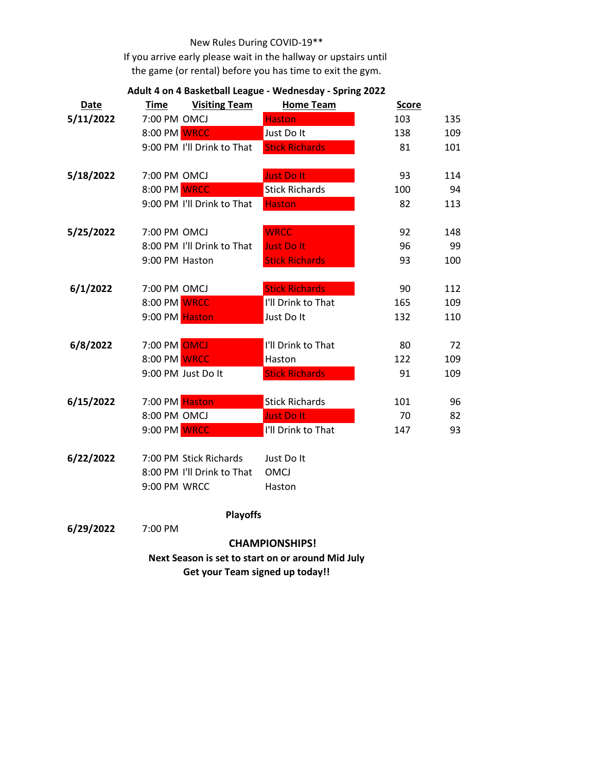## New Rules During COVID-19\*\*

If you arrive early please wait in the hallway or upstairs until the game (or rental) before you has time to exit the gym.

| <b>Date</b>                                       | <b>Time</b>    | <b>Visiting Team</b>       | <b>Home Team</b>      | <b>Score</b> |     |  |  |
|---------------------------------------------------|----------------|----------------------------|-----------------------|--------------|-----|--|--|
| 5/11/2022                                         | 7:00 PM OMCJ   |                            | <b>Haston</b>         | 103          | 135 |  |  |
|                                                   | 8:00 PM WRCC   |                            | Just Do It            | 138          | 109 |  |  |
|                                                   |                | 9:00 PM I'll Drink to That | <b>Stick Richards</b> | 81           | 101 |  |  |
| 5/18/2022                                         | 7:00 PM OMCJ   |                            | <b>Just Do It</b>     | 93           | 114 |  |  |
|                                                   | 8:00 PM WRCC   |                            | <b>Stick Richards</b> | 100          | 94  |  |  |
|                                                   |                | 9:00 PM I'll Drink to That | <b>Haston</b>         | 82           | 113 |  |  |
| 5/25/2022                                         | 7:00 PM OMCJ   |                            | <b>WRCC</b>           | 92           | 148 |  |  |
|                                                   |                | 8:00 PM I'll Drink to That | <b>Just Do It</b>     | 96           | 99  |  |  |
|                                                   | 9:00 PM Haston |                            | <b>Stick Richards</b> | 93           | 100 |  |  |
| 6/1/2022                                          | 7:00 PM OMCJ   |                            | <b>Stick Richards</b> | 90           | 112 |  |  |
|                                                   | 8:00 PM WRCC   |                            | I'll Drink to That    | 165          | 109 |  |  |
|                                                   | 9:00 PM Haston |                            | Just Do It            | 132          | 110 |  |  |
| 6/8/2022                                          | 7:00 PM OMCJ   |                            | I'll Drink to That    | 80           | 72  |  |  |
|                                                   | 8:00 PM WRCC   |                            | Haston                | 122          | 109 |  |  |
|                                                   |                | 9:00 PM Just Do It         | <b>Stick Richards</b> | 91           | 109 |  |  |
| 6/15/2022                                         | 7:00 PM Haston |                            | <b>Stick Richards</b> | 101          | 96  |  |  |
|                                                   | 8:00 PM OMCJ   |                            | <b>Just Do It</b>     | 70           | 82  |  |  |
|                                                   | 9:00 PM WRCC   |                            | I'll Drink to That    | 147          | 93  |  |  |
| 6/22/2022                                         |                | 7:00 PM Stick Richards     | Just Do It            |              |     |  |  |
|                                                   |                | 8:00 PM I'll Drink to That | <b>OMCJ</b>           |              |     |  |  |
|                                                   | 9:00 PM WRCC   |                            | Haston                |              |     |  |  |
|                                                   |                | <b>Playoffs</b>            |                       |              |     |  |  |
| 6/29/2022                                         | 7:00 PM        |                            |                       |              |     |  |  |
| <b>CHAMPIONSHIPS!</b>                             |                |                            |                       |              |     |  |  |
| Next Season is set to start on or around Mid July |                |                            |                       |              |     |  |  |
| <b>Get your Team signed up today!!</b>            |                |                            |                       |              |     |  |  |

## **Adult 4 on 4 Basketball League - Wednesday - Spring 2022**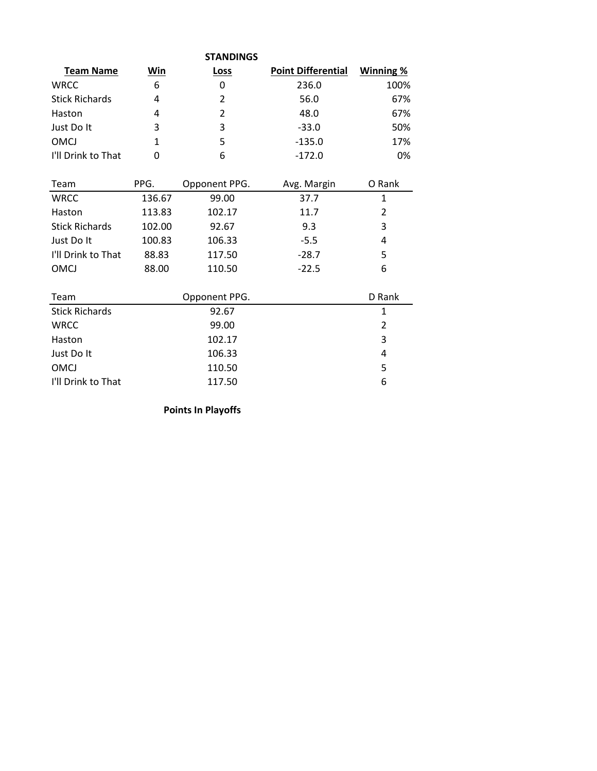| <b>STANDINGS</b>          |           |  |  |  |  |  |  |
|---------------------------|-----------|--|--|--|--|--|--|
| <b>Point Differential</b> | Winning % |  |  |  |  |  |  |
| 236.0                     | 100%      |  |  |  |  |  |  |
| 56.0                      | 67%       |  |  |  |  |  |  |
| 48.0                      | 67%       |  |  |  |  |  |  |
| $-33.0$                   | 50%       |  |  |  |  |  |  |
| $-135.0$                  | 17%       |  |  |  |  |  |  |
| $-172.0$                  | 0%        |  |  |  |  |  |  |
|                           |           |  |  |  |  |  |  |

| Team                  | PPG.   | Opponent PPG. | Avg. Margin | O Rank |
|-----------------------|--------|---------------|-------------|--------|
| <b>WRCC</b>           | 136.67 | 99.00         | 37.7        | 1      |
| Haston                | 113.83 | 102.17        | 11.7        | 2      |
| <b>Stick Richards</b> | 102.00 | 92.67         | 9.3         | 3      |
| Just Do It            | 100.83 | 106.33        | $-5.5$      | 4      |
| I'll Drink to That    | 88.83  | 117.50        | $-28.7$     | 5      |
| <b>OMCJ</b>           | 88.00  | 110.50        | $-22.5$     | 6      |
|                       |        |               |             |        |
| Team                  |        | Opponent PPG. |             | D Rank |
| <b>Stick Richards</b> |        | 92.67         |             | 1      |
| <b>WRCC</b>           |        | 99.00         |             | 2      |
| Haston                |        | 102.17        |             | 3      |
| Just Do It            |        | 106.33        |             | 4      |
| <b>OMCJ</b>           |        | 110.50        |             | 5      |
| I'll Drink to That    |        | 117.50        |             | 6      |

**Points In Playoffs**